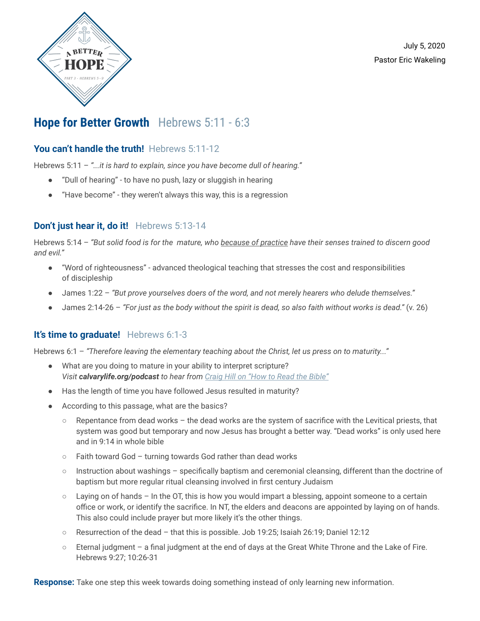

July 5, 2020 Pastor Eric Wakeling

# **Hope for Better Growth** Hebrews 5:11 - 6:3

## **You can't handle the truth!** Hebrews 5:11-12

Hebrews 5:11 – *"...it is hard to explain, since you have become dull of hearing."*

- "Dull of hearing" to have no push, lazy or sluggish in hearing
- "Have become" they weren't always this way, this is a regression

### **Don't just hear it, do it!** Hebrews 5:13-14

Hebrews 5:14 - "But solid food is for the mature, who because of practice have their senses trained to discern good *and evil."*

- "Word of righteousness" advanced theological teaching that stresses the cost and responsibilities of discipleship
- James 1:22 *"But prove yourselves doers of the word, and not merely hearers who delude themselves."*
- James 2:14-26 *"For just as the body without the spirit is dead, so also faith without works is dead."* (v. 26)

### **It's time to graduate!** Hebrews 6:1-3

Hebrews 6:1 – *"Therefore leaving the elementary teaching about the Christ, let us press on to maturity..."*

- What are you doing to mature in your ability to interpret scripture? *Visit calvarylife.org/podcast to hear from [Craig Hill](https://calvarylife.org/resources/how-to-read-the-bible-with-craig-hill/) on "How to Read the Bible"*
- Has the length of time you have followed Jesus resulted in maturity?
- According to this passage, what are the basics?
	- Repentance from dead works the dead works are the system of sacrifice with the Levitical priests, that system was good but temporary and now Jesus has brought a better way. "Dead works" is only used here and in 9:14 in whole bible
	- Faith toward God turning towards God rather than dead works
	- Instruction about washings specifically baptism and ceremonial cleansing, different than the doctrine of baptism but more regular ritual cleansing involved in first century Judaism
	- $\circ$  Laying on of hands In the OT, this is how you would impart a blessing, appoint someone to a certain office or work, or identify the sacrifice. In NT, the elders and deacons are appointed by laying on of hands. This also could include prayer but more likely it's the other things.
	- Resurrection of the dead that this is possible. Job 19:25; Isaiah 26:19; Daniel 12:12
	- Eternal judgment a final judgment at the end of days at the Great White Throne and the Lake of Fire. Hebrews 9:27; 10:26-31

**Response:** Take one step this week towards doing something instead of only learning new information.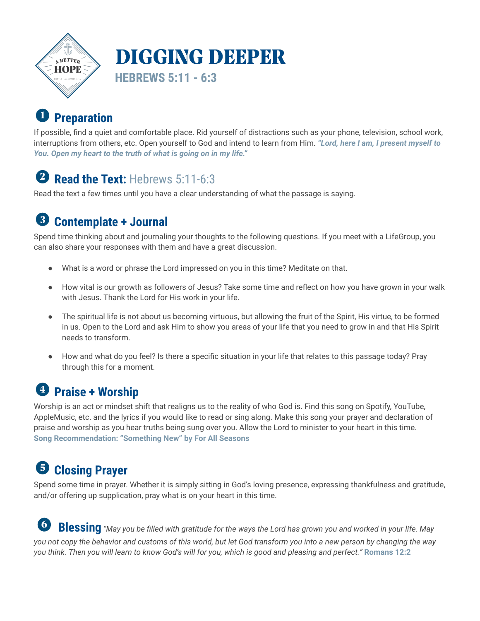

#### **Preparation**  $\blacksquare$

If possible, find a quiet and comfortable place. Rid yourself of distractions such as your phone, television, school work, interruptions from others, etc. Open yourself to God and intend to learn from Him. *"Lord, here I am, I present myself to You. Open my heart to the truth of what is going on in my life."*

# **2 Read the Text:** Hebrews 5:11-6:3

Read the text a few times until you have a clear understanding of what the passage is saying.

#### $\left( 3\right)$ **Contemplate + Journal**

Spend time thinking about and journaling your thoughts to the following questions. If you meet with a LifeGroup, you can also share your responses with them and have a great discussion.

- What is a word or phrase the Lord impressed on you in this time? Meditate on that.
- How vital is our growth as followers of Jesus? Take some time and reflect on how you have grown in your walk with Jesus. Thank the Lord for His work in your life.
- The spiritual life is not about us becoming virtuous, but allowing the fruit of the Spirit, His virtue, to be formed in us. Open to the Lord and ask Him to show you areas of your life that you need to grow in and that His Spirit needs to transform.
- How and what do you feel? Is there a specific situation in your life that relates to this passage today? Pray through this for a moment.

# **Praise + Worship**

Worship is an act or mindset shift that realigns us to the reality of who God is. Find this song on Spotify, YouTube, AppleMusic, etc. and the lyrics if you would like to read or sing along. Make this song your prayer and declaration of praise and worship as you hear truths being sung over you. Allow the Lord to minister to your heart in this time. **Song Recommendation: "[Something](https://www.youtube.com/watch?v=cjM7HTcG2RA) New" by For All Seasons**

#### **Closing Prayer** 6

Spend some time in prayer. Whether it is simply sitting in God's loving presence, expressing thankfulness and gratitude, and/or offering up supplication, pray what is on your heart in this time.

 $\left( 6\right)$ Blessing "May you be filled with gratitude for the ways the Lord has grown you and worked in your life. May you not copy the behavior and customs of this world, but let God transform you into a new person by changing the way you think. Then you will learn to know God's will for you, which is good and pleasing and perfect." Romans 12:2